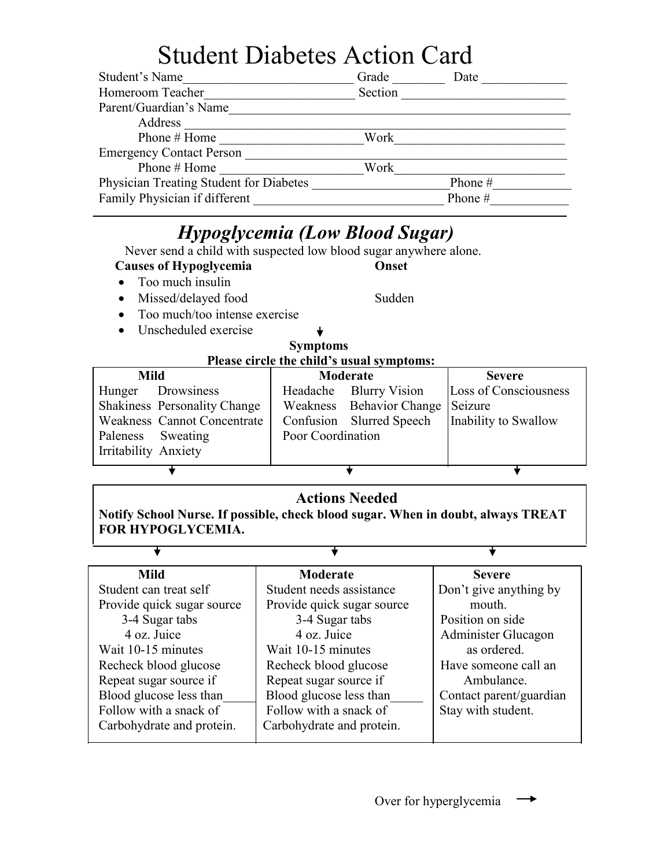# Student Diabetes Action Card

| Student's Name                          | Grade   | Date      |
|-----------------------------------------|---------|-----------|
| Homeroom Teacher                        | Section |           |
| Parent/Guardian's Name                  |         |           |
| Address                                 |         |           |
| Phone # Home                            | Work    |           |
| <b>Emergency Contact Person</b>         |         |           |
| Phone # Home                            | Work    |           |
| Physician Treating Student for Diabetes |         | Phone $#$ |
| Family Physician if different           |         | Phone #   |

# *Hypoglycemia (Low Blood Sugar)*

Never send a child with suspected low blood sugar anywhere alone.

- **Causes of Hypoglycemia Onset**
- Too much insulin

Ŧ

- Missed/delayed food Sudden
- Too much/too intense exercise
- Unscheduled exercise

### **Symptoms**

 **Please circle the child's usual symptoms:**

| Mild                                |                   | Moderate                         | <b>Severe</b>         |
|-------------------------------------|-------------------|----------------------------------|-----------------------|
| Drowsiness<br>Hunger                |                   | Headache Blurry Vision           | Loss of Consciousness |
| <b>Shakiness Personality Change</b> |                   | Weakness Behavior Change Seizure |                       |
| Weakness Cannot Concentrate         |                   | Confusion Slurred Speech         | Inability to Swallow  |
| Paleness Sweating                   | Poor Coordination |                                  |                       |
| Irritability Anxiety                |                   |                                  |                       |
|                                     |                   |                                  |                       |

## **Actions Needed**

**Notify School Nurse. If possible, check blood sugar. When in doubt, always TREAT FOR HYPOGLYCEMIA.** 

Ŧ

| <b>Mild</b>                | Moderate                   | <b>Severe</b>           |
|----------------------------|----------------------------|-------------------------|
| Student can treat self     | Student needs assistance   | Don't give anything by  |
| Provide quick sugar source | Provide quick sugar source | mouth.                  |
| 3-4 Sugar tabs             | 3-4 Sugar tabs             | Position on side        |
| 4 oz. Juice                | 4 oz. Juice                | Administer Glucagon     |
| Wait 10-15 minutes         | Wait 10-15 minutes         | as ordered.             |
| Recheck blood glucose      | Recheck blood glucose      | Have someone call an    |
| Repeat sugar source if     | Repeat sugar source if     | Ambulance.              |
| Blood glucose less than    | Blood glucose less than    | Contact parent/guardian |
| Follow with a snack of     | Follow with a snack of     | Stay with student.      |
| Carbohydrate and protein.  | Carbohydrate and protein.  |                         |
|                            |                            |                         |